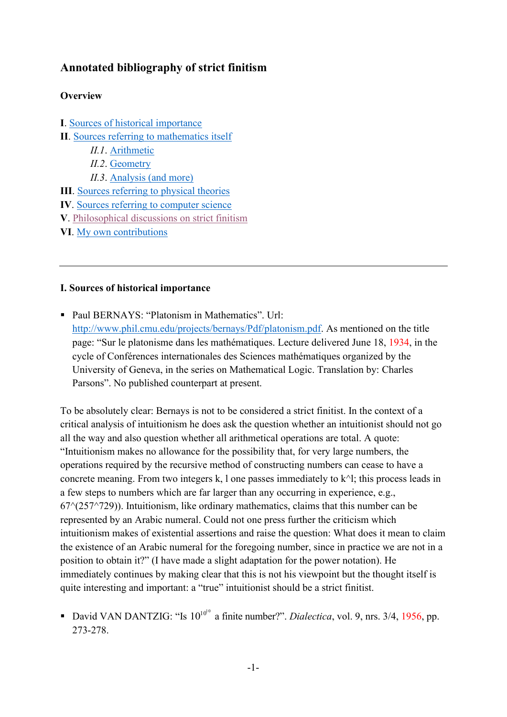# **Annotated bibliography of strict finitism**

# **Overview**

**I**. [Sources of historical importance](#page-4-0) **II**. [Sources referring to mathematics itself](#page-4-0) *II.1*. [Arithmetic](#page-4-1) *II.2*. [Geometry](#page-6-0) *II.3*. [Analysis \(and more\)](#page-7-0) **III**. [Sources referring to physical theories](#page-8-0) **IV**. [Sources referring to computer science](#page-11-0) **V**. [Philosophical discussions on strict finitism](#page-12-0) **VI**. [My own contributions](#page-16-0)

#### **I. Sources of historical importance**

■ Paul BERNAYS: "Platonism in Mathematics". Url: [http://www.phil.cmu.edu/projects/bernays/Pdf/platonism.pdf.](http://www.phil.cmu.edu/projects/bernays/Pdf/platonism.pdf) As mentioned on the title page: "Sur le platonisme dans les mathématiques. Lecture delivered June 18, 1934, in the cycle of Conférences internationales des Sciences mathématiques organized by the University of Geneva, in the series on Mathematical Logic. Translation by: Charles Parsons". No published counterpart at present.

To be absolutely clear: Bernays is not to be considered a strict finitist. In the context of a critical analysis of intuitionism he does ask the question whether an intuitionist should not go all the way and also question whether all arithmetical operations are total. A quote: "Intuitionism makes no allowance for the possibility that, for very large numbers, the operations required by the recursive method of constructing numbers can cease to have a concrete meaning. From two integers k, l one passes immediately to  $k^{\wedge}$ l; this process leads in a few steps to numbers which are far larger than any occurring in experience, e.g.,  $67^{\circ}(257^{\circ}729)$ ). Intuitionism, like ordinary mathematics, claims that this number can be represented by an Arabic numeral. Could not one press further the criticism which intuitionism makes of existential assertions and raise the question: What does it mean to claim the existence of an Arabic numeral for the foregoing number, since in practice we are not in a position to obtain it?" (I have made a slight adaptation for the power notation). He immediately continues by making clear that this is not his viewpoint but the thought itself is quite interesting and important: a "true" intuitionist should be a strict finitist.

**•** David VAN DANTZIG: "Is  $10^{10^{10}}$  a finite number?". *Dialectica*, vol. 9, nrs. 3/4, 1956, pp. 273-278.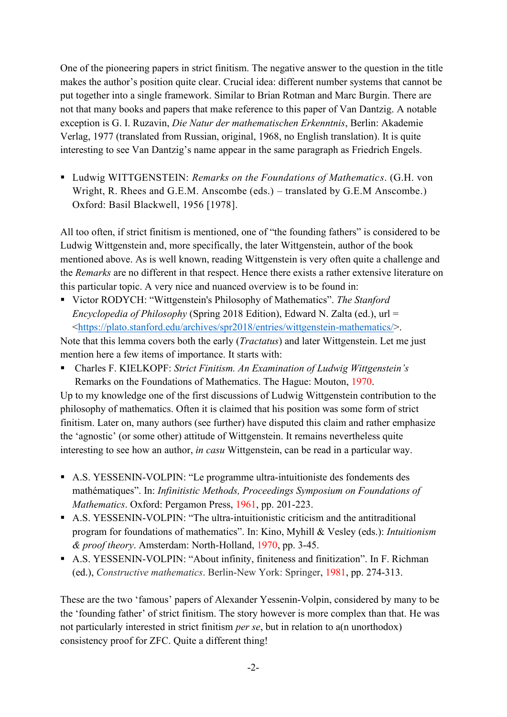One of the pioneering papers in strict finitism. The negative answer to the question in the title makes the author's position quite clear. Crucial idea: different number systems that cannot be put together into a single framework. Similar to Brian Rotman and Marc Burgin. There are not that many books and papers that make reference to this paper of Van Dantzig. A notable exception is G. I. Ruzavin, *Die Natur der mathematischen Erkenntnis*, Berlin: Akademie Verlag, 1977 (translated from Russian, original, 1968, no English translation). It is quite interesting to see Van Dantzig's name appear in the same paragraph as Friedrich Engels.

▪ Ludwig WITTGENSTEIN: *Remarks on the Foundations of Mathematics*. (G.H. von Wright, R. Rhees and G.E.M. Anscombe (eds.) – translated by G.E.M Anscombe.) Oxford: Basil Blackwell, 1956 [1978].

All too often, if strict finitism is mentioned, one of "the founding fathers" is considered to be Ludwig Wittgenstein and, more specifically, the later Wittgenstein, author of the book mentioned above. As is well known, reading Wittgenstein is very often quite a challenge and the *Remarks* are no different in that respect. Hence there exists a rather extensive literature on this particular topic. A very nice and nuanced overview is to be found in:

▪ Victor RODYCH: "Wittgenstein's Philosophy of Mathematics". *The Stanford Encyclopedia of Philosophy* (Spring 2018 Edition), Edward N. Zalta (ed.), url = [<https://plato.stanford.edu/archives/spr2018/entries/wittgenstein-mathematics/>](https://plato.stanford.edu/archives/spr2018/entries/wittgenstein-mathematics/).

Note that this lemma covers both the early (*Tractatus*) and later Wittgenstein. Let me just mention here a few items of importance. It starts with:

▪ Charles F. KIELKOPF: *Strict Finitism. An Examination of Ludwig Wittgenstein's* Remarks on the Foundations of Mathematics. The Hague: Mouton, 1970.

Up to my knowledge one of the first discussions of Ludwig Wittgenstein contribution to the philosophy of mathematics. Often it is claimed that his position was some form of strict finitism. Later on, many authors (see further) have disputed this claim and rather emphasize the 'agnostic' (or some other) attitude of Wittgenstein. It remains nevertheless quite interesting to see how an author, *in casu* Wittgenstein, can be read in a particular way.

- A.S. YESSENIN-VOLPIN: "Le programme ultra-intuitioniste des fondements des mathématiques". In: *Infinitistic Methods, Proceedings Symposium on Foundations of Mathematics*. Oxford: Pergamon Press, 1961, pp. 201-223.
- A.S. YESSENIN-VOLPIN: "The ultra-intuitionistic criticism and the antitraditional program for foundations of mathematics". In: Kino, Myhill & Vesley (eds.): *Intuitionism & proof theory*. Amsterdam: North-Holland, 1970, pp. 3-45.
- A.S. YESSENIN-VOLPIN: "About infinity, finiteness and finitization". In F. Richman (ed.), *Constructive mathematics*. Berlin-New York: Springer, 1981, pp. 274-313.

These are the two 'famous' papers of Alexander Yessenin-Volpin, considered by many to be the 'founding father' of strict finitism. The story however is more complex than that. He was not particularly interested in strict finitism *per se*, but in relation to a(n unorthodox) consistency proof for ZFC. Quite a different thing!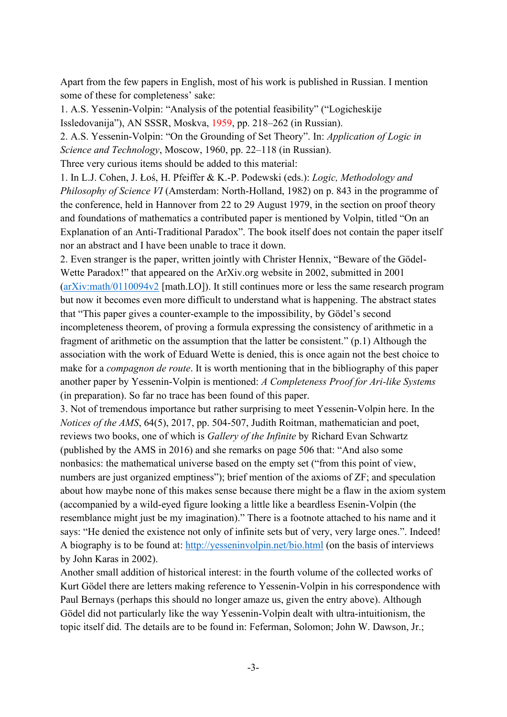Apart from the few papers in English, most of his work is published in Russian. I mention some of these for completeness' sake:

1. A.S. Yessenin-Volpin: "Analysis of the potential feasibility" ("Logicheskije Issledovanija"), AN SSSR, Moskva, 1959, pp. 218–262 (in Russian).

2. A.S. Yessenin-Volpin: "On the Grounding of Set Theory". In: *Application of Logic in Science and Technology*, Moscow, 1960, pp. 22–118 (in Russian).

Three very curious items should be added to this material:

1. In L.J. Cohen, J. Łoś, H. Pfeiffer & K.-P. Podewski (eds.): *Logic, Methodology and Philosophy of Science VI* (Amsterdam: North-Holland, 1982) on p. 843 in the programme of the conference, held in Hannover from 22 to 29 August 1979, in the section on proof theory and foundations of mathematics a contributed paper is mentioned by Volpin, titled "On an Explanation of an Anti-Traditional Paradox". The book itself does not contain the paper itself nor an abstract and I have been unable to trace it down.

2. Even stranger is the paper, written jointly with Christer Hennix, "Beware of the Gödel-Wette Paradox!" that appeared on the ArXiv.org website in 2002, submitted in 2001 [\(arXiv:math/0110094v2](http://arxiv.org/abs/math/0110094v2) [math.LO]). It still continues more or less the same research program but now it becomes even more difficult to understand what is happening. The abstract states that "This paper gives a counter-example to the impossibility, by Gödel's second incompleteness theorem, of proving a formula expressing the consistency of arithmetic in a fragment of arithmetic on the assumption that the latter be consistent." (p.1) Although the association with the work of Eduard Wette is denied, this is once again not the best choice to make for a *compagnon de route*. It is worth mentioning that in the bibliography of this paper another paper by Yessenin-Volpin is mentioned: *A Completeness Proof for Ari-like Systems*  (in preparation). So far no trace has been found of this paper.

3. Not of tremendous importance but rather surprising to meet Yessenin-Volpin here. In the *Notices of the AMS*, 64(5), 2017, pp. 504-507, Judith Roitman, mathematician and poet, reviews two books, one of which is *Gallery of the Infinite* by Richard Evan Schwartz (published by the AMS in 2016) and she remarks on page 506 that: "And also some nonbasics: the mathematical universe based on the empty set ("from this point of view, numbers are just organized emptiness"); brief mention of the axioms of  $ZF$ ; and speculation about how maybe none of this makes sense because there might be a flaw in the axiom system (accompanied by a wild-eyed figure looking a little like a beardless Esenin-Volpin (the resemblance might just be my imagination)." There is a footnote attached to his name and it says: "He denied the existence not only of infinite sets but of very, very large ones.". Indeed! A biography is to be found at:<http://yesseninvolpin.net/bio.html> (on the basis of interviews by John Karas in 2002).

Another small addition of historical interest: in the fourth volume of the collected works of Kurt Gödel there are letters making reference to Yessenin-Volpin in his correspondence with Paul Bernays (perhaps this should no longer amaze us, given the entry above). Although Gödel did not particularly like the way Yessenin-Volpin dealt with ultra-intuitionism, the topic itself did. The details are to be found in: Feferman, Solomon; John W. Dawson, Jr.;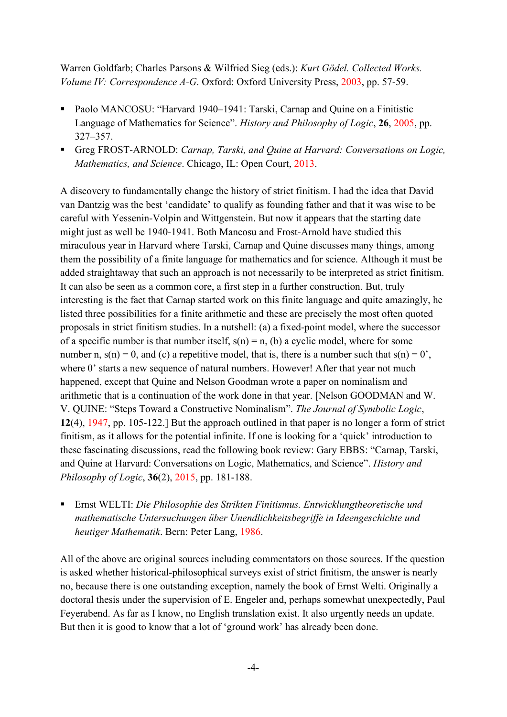Warren Goldfarb; Charles Parsons & Wilfried Sieg (eds.): *Kurt Gödel. Collected Works. Volume IV: Correspondence A-G*. Oxford: Oxford University Press, 2003, pp. 57-59.

- Paolo MANCOSU: "Harvard 1940–1941: Tarski, Carnap and Quine on a Finitistic Language of Mathematics for Science". *History and Philosophy of Logic*, **26**, 2005, pp. 327–357.
- Greg FROST-ARNOLD: *Carnap, Tarski, and Quine at Harvard: Conversations on Logic, Mathematics, and Science*. Chicago, IL: Open Court, 2013.

A discovery to fundamentally change the history of strict finitism. I had the idea that David van Dantzig was the best 'candidate' to qualify as founding father and that it was wise to be careful with Yessenin-Volpin and Wittgenstein. But now it appears that the starting date might just as well be 1940-1941. Both Mancosu and Frost-Arnold have studied this miraculous year in Harvard where Tarski, Carnap and Quine discusses many things, among them the possibility of a finite language for mathematics and for science. Although it must be added straightaway that such an approach is not necessarily to be interpreted as strict finitism. It can also be seen as a common core, a first step in a further construction. But, truly interesting is the fact that Carnap started work on this finite language and quite amazingly, he listed three possibilities for a finite arithmetic and these are precisely the most often quoted proposals in strict finitism studies. In a nutshell: (a) a fixed-point model, where the successor of a specific number is that number itself,  $s(n) = n$ , (b) a cyclic model, where for some number n,  $s(n) = 0$ , and (c) a repetitive model, that is, there is a number such that  $s(n) = 0$ '. where 0' starts a new sequence of natural numbers. However! After that year not much happened, except that Quine and Nelson Goodman wrote a paper on nominalism and arithmetic that is a continuation of the work done in that year. [Nelson GOODMAN and W. V. QUINE: "Steps Toward a Constructive Nominalism". *The Journal of Symbolic Logic*, **12**(4), 1947, pp. 105-122.] But the approach outlined in that paper is no longer a form of strict finitism, as it allows for the potential infinite. If one is looking for a 'quick' introduction to these fascinating discussions, read the following book review: Gary EBBS: "Carnap, Tarski, and Quine at Harvard: Conversations on Logic, Mathematics, and Science". *History and Philosophy of Logic*, **36**(2), 2015, pp. 181-188.

▪ Ernst WELTI: *Die Philosophie des Strikten Finitismus. Entwicklungtheoretische und mathematische Untersuchungen über Unendlichkeitsbegriffe in Ideengeschichte und heutiger Mathematik*. Bern: Peter Lang, 1986.

All of the above are original sources including commentators on those sources. If the question is asked whether historical-philosophical surveys exist of strict finitism, the answer is nearly no, because there is one outstanding exception, namely the book of Ernst Welti. Originally a doctoral thesis under the supervision of E. Engeler and, perhaps somewhat unexpectedly, Paul Feyerabend. As far as I know, no English translation exist. It also urgently needs an update. But then it is good to know that a lot of 'ground work' has already been done.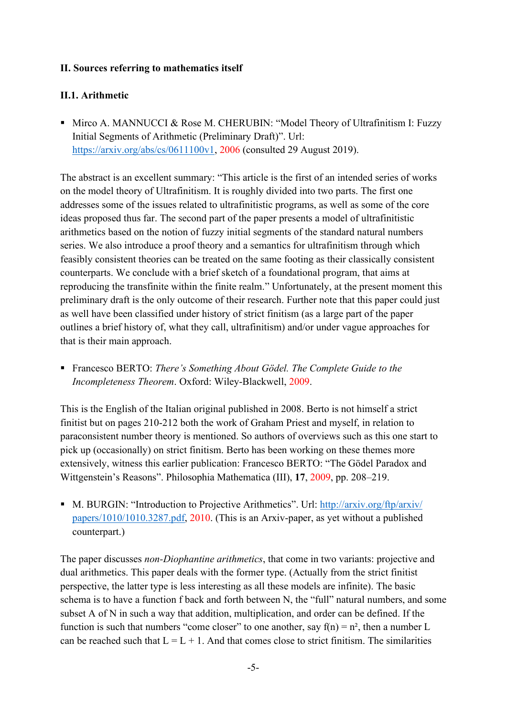# <span id="page-4-0"></span>**II. Sources referring to mathematics itself**

# <span id="page-4-1"></span>**II.1. Arithmetic**

■ Mirco A. MANNUCCI & Rose M. CHERUBIN: "Model Theory of Ultrafinitism I: Fuzzy Initial Segments of Arithmetic (Preliminary Draft)". Url: [https://arxiv.org/abs/cs/0611100v1,](https://arxiv.org/abs/cs/0611100v1) 2006 (consulted 29 August 2019).

The abstract is an excellent summary: "This article is the first of an intended series of works on the model theory of Ultrafinitism. It is roughly divided into two parts. The first one addresses some of the issues related to ultrafinitistic programs, as well as some of the core ideas proposed thus far. The second part of the paper presents a model of ultrafinitistic arithmetics based on the notion of fuzzy initial segments of the standard natural numbers series. We also introduce a proof theory and a semantics for ultrafinitism through which feasibly consistent theories can be treated on the same footing as their classically consistent counterparts. We conclude with a brief sketch of a foundational program, that aims at reproducing the transfinite within the finite realm." Unfortunately, at the present moment this preliminary draft is the only outcome of their research. Further note that this paper could just as well have been classified under history of strict finitism (as a large part of the paper outlines a brief history of, what they call, ultrafinitism) and/or under vague approaches for that is their main approach.

■ Francesco BERTO: *There's Something About Gödel. The Complete Guide to the Incompleteness Theorem*. Oxford: Wiley-Blackwell, 2009.

This is the English of the Italian original published in 2008. Berto is not himself a strict finitist but on pages 210-212 both the work of Graham Priest and myself, in relation to paraconsistent number theory is mentioned. So authors of overviews such as this one start to pick up (occasionally) on strict finitism. Berto has been working on these themes more extensively, witness this earlier publication: Francesco BERTO: "The Gödel Paradox and Wittgenstein's Reasons". Philosophia Mathematica (III), **17**, 2009, pp. 208–219.

■ M. BURGIN: "Introduction to Projective Arithmetics". Url: http://arxiv.org/ftp/arxiv/ [papers/1010/1010.3287.pdf,](http://arxiv.org/ftp/arxiv/%20papers/1010/1010.3287.pdf) 2010. (This is an Arxiv-paper, as yet without a published counterpart.)

The paper discusses *non-Diophantine arithmetics*, that come in two variants: projective and dual arithmetics. This paper deals with the former type. (Actually from the strict finitist perspective, the latter type is less interesting as all these models are infinite). The basic schema is to have a function f back and forth between N, the "full" natural numbers, and some subset A of N in such a way that addition, multiplication, and order can be defined. If the function is such that numbers "come closer" to one another, say  $f(n) = n^2$ , then a number L can be reached such that  $L = L + 1$ . And that comes close to strict finitism. The similarities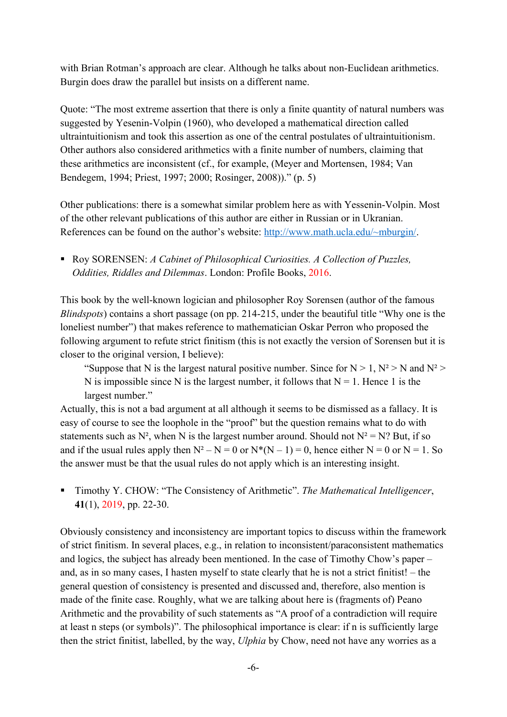with Brian Rotman's approach are clear. Although he talks about non-Euclidean arithmetics. Burgin does draw the parallel but insists on a different name.

Quote: "The most extreme assertion that there is only a finite quantity of natural numbers was suggested by Yesenin-Volpin (1960), who developed a mathematical direction called ultraintuitionism and took this assertion as one of the central postulates of ultraintuitionism. Other authors also considered arithmetics with a finite number of numbers, claiming that these arithmetics are inconsistent (cf., for example, (Meyer and Mortensen, 1984; Van Bendegem, 1994; Priest, 1997; 2000; Rosinger, 2008))." (p. 5)

Other publications: there is a somewhat similar problem here as with Yessenin-Volpin. Most of the other relevant publications of this author are either in Russian or in Ukranian. References can be found on the author's website: [http://www.math.ucla.edu/~mburgin/.](http://www.math.ucla.edu/~mburgin/)

■ Roy SORENSEN: *A Cabinet of Philosophical Curiosities. A Collection of Puzzles, Oddities, Riddles and Dilemmas*. London: Profile Books, 2016.

This book by the well-known logician and philosopher Roy Sorensen (author of the famous *Blindspots*) contains a short passage (on pp. 214-215, under the beautiful title "Why one is the loneliest number") that makes reference to mathematician Oskar Perron who proposed the following argument to refute strict finitism (this is not exactly the version of Sorensen but it is closer to the original version, I believe):

"Suppose that N is the largest natural positive number. Since for  $N > 1$ ,  $N^2 > N$  and  $N^2 >$ N is impossible since N is the largest number, it follows that  $N = 1$ . Hence 1 is the largest number."

Actually, this is not a bad argument at all although it seems to be dismissed as a fallacy. It is easy of course to see the loophole in the "proof" but the question remains what to do with statements such as  $N^2$ , when N is the largest number around. Should not  $N^2 = N$ ? But, if so and if the usual rules apply then  $N^2 - N = 0$  or  $N^*(N - 1) = 0$ , hence either  $N = 0$  or  $N = 1$ . So the answer must be that the usual rules do not apply which is an interesting insight.

▪ Timothy Y. CHOW: "The Consistency of Arithmetic". *The Mathematical Intelligencer*, **41**(1), 2019, pp. 22-30.

Obviously consistency and inconsistency are important topics to discuss within the framework of strict finitism. In several places, e.g., in relation to inconsistent/paraconsistent mathematics and logics, the subject has already been mentioned. In the case of Timothy Chow's paper – and, as in so many cases, I hasten myself to state clearly that he is not a strict finitist! – the general question of consistency is presented and discussed and, therefore, also mention is made of the finite case. Roughly, what we are talking about here is (fragments of) Peano Arithmetic and the provability of such statements as "A proof of a contradiction will require at least n steps (or symbols)". The philosophical importance is clear: if n is sufficiently large then the strict finitist, labelled, by the way, *Ulphia* by Chow, need not have any worries as a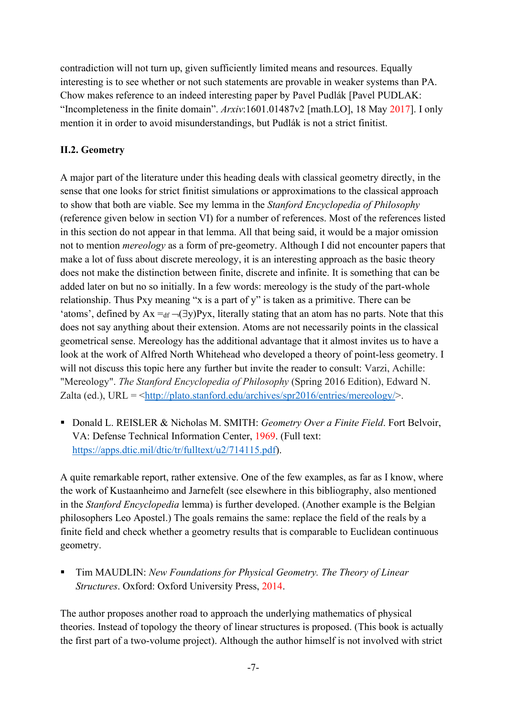contradiction will not turn up, given sufficiently limited means and resources. Equally interesting is to see whether or not such statements are provable in weaker systems than PA. Chow makes reference to an indeed interesting paper by Pavel Pudlák [Pavel PUDLAK: "Incompleteness in the finite domain". *Arxiv*:1601.01487v2 [math.LO], 18 May 2017]. I only mention it in order to avoid misunderstandings, but Pudlák is not a strict finitist.

# <span id="page-6-0"></span>**II.2. Geometry**

A major part of the literature under this heading deals with classical geometry directly, in the sense that one looks for strict finitist simulations or approximations to the classical approach to show that both are viable. See my lemma in the *Stanford Encyclopedia of Philosophy* (reference given below in section VI) for a number of references. Most of the references listed in this section do not appear in that lemma. All that being said, it would be a major omission not to mention *mereology* as a form of pre-geometry. Although I did not encounter papers that make a lot of fuss about discrete mereology, it is an interesting approach as the basic theory does not make the distinction between finite, discrete and infinite. It is something that can be added later on but no so initially. In a few words: mereology is the study of the part-whole relationship. Thus Pxy meaning "x is a part of y" is taken as a primitive. There can be 'atoms', defined by  $Ax =_{df} \neg (\exists y)Pyx$ , literally stating that an atom has no parts. Note that this does not say anything about their extension. Atoms are not necessarily points in the classical geometrical sense. Mereology has the additional advantage that it almost invites us to have a look at the work of Alfred North Whitehead who developed a theory of point-less geometry. I will not discuss this topic here any further but invite the reader to consult: Varzi, Achille: "Mereology". *The Stanford Encyclopedia of Philosophy* (Spring 2016 Edition), Edward N. Zalta (ed.), URL =  $\langle \frac{http://plate.stanford.edu/archives/spr2016/entries/mereology/>}.$ 

■ Donald L. REISLER & Nicholas M. SMITH: *Geometry Over a Finite Field*. Fort Belvoir, VA: Defense Technical Information Center, 1969. (Full text: [https://apps.dtic.mil/dtic/tr/fulltext/u2/714115.pdf\)](https://apps.dtic.mil/dtic/tr/fulltext/u2/714115.pdf).

A quite remarkable report, rather extensive. One of the few examples, as far as I know, where the work of Kustaanheimo and Jarnefelt (see elsewhere in this bibliography, also mentioned in the *Stanford Encyclopedia* lemma) is further developed. (Another example is the Belgian philosophers Leo Apostel.) The goals remains the same: replace the field of the reals by a finite field and check whether a geometry results that is comparable to Euclidean continuous geometry.

Tim MAUDLIN: New Foundations for Physical Geometry. The Theory of Linear *Structures*. Oxford: Oxford University Press, 2014.

The author proposes another road to approach the underlying mathematics of physical theories. Instead of topology the theory of linear structures is proposed. (This book is actually the first part of a two-volume project). Although the author himself is not involved with strict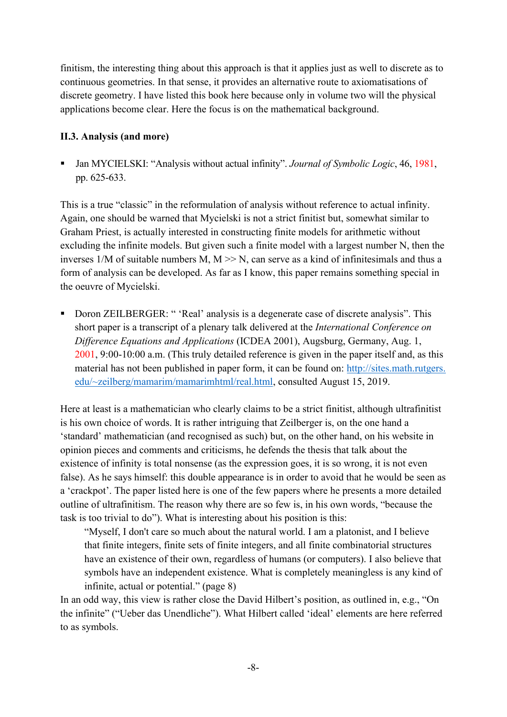finitism, the interesting thing about this approach is that it applies just as well to discrete as to continuous geometries. In that sense, it provides an alternative route to axiomatisations of discrete geometry. I have listed this book here because only in volume two will the physical applications become clear. Here the focus is on the mathematical background.

#### <span id="page-7-0"></span>**II.3. Analysis (and more)**

▪ Jan MYCIELSKI: "Analysis without actual infinity". *Journal of Symbolic Logic*, 46, 1981, pp. 625-633.

This is a true "classic" in the reformulation of analysis without reference to actual infinity. Again, one should be warned that Mycielski is not a strict finitist but, somewhat similar to Graham Priest, is actually interested in constructing finite models for arithmetic without excluding the infinite models. But given such a finite model with a largest number N, then the inverses  $1/M$  of suitable numbers M,  $M \gg N$ , can serve as a kind of infinitesimals and thus a form of analysis can be developed. As far as I know, this paper remains something special in the oeuvre of Mycielski.

■ Doron ZEILBERGER: " 'Real' analysis is a degenerate case of discrete analysis". This short paper is a transcript of a plenary talk delivered at the *International Conference on Difference Equations and Applications* (ICDEA 2001), Augsburg, Germany, Aug. 1, 2001, 9:00-10:00 a.m. (This truly detailed reference is given in the paper itself and, as this material has not been published in paper form, it can be found on: http://sites.math.rutgers. edu/~zeilberg/mamarim/mamarimhtml/real.html, consulted August 15, 2019.

Here at least is a mathematician who clearly claims to be a strict finitist, although ultrafinitist is his own choice of words. It is rather intriguing that Zeilberger is, on the one hand a 'standard' mathematician (and recognised as such) but, on the other hand, on his website in opinion pieces and comments and criticisms, he defends the thesis that talk about the existence of infinity is total nonsense (as the expression goes, it is so wrong, it is not even false). As he says himself: this double appearance is in order to avoid that he would be seen as a 'crackpot'. The paper listed here is one of the few papers where he presents a more detailed outline of ultrafinitism. The reason why there are so few is, in his own words, "because the task is too trivial to do"). What is interesting about his position is this:

"Myself, I don't care so much about the natural world. I am a platonist, and I believe that finite integers, finite sets of finite integers, and all finite combinatorial structures have an existence of their own, regardless of humans (or computers). I also believe that symbols have an independent existence. What is completely meaningless is any kind of infinite, actual or potential." (page 8)

In an odd way, this view is rather close the David Hilbert's position, as outlined in, e.g., "On the infinite" ("Ueber das Unendliche"). What Hilbert called 'ideal' elements are here referred to as symbols.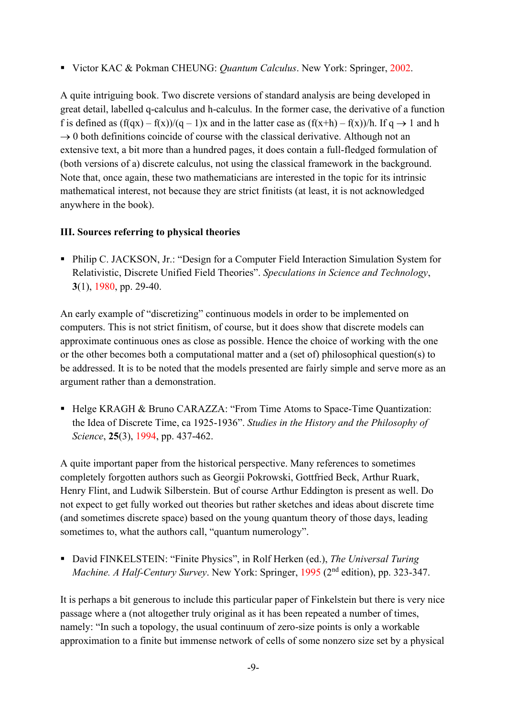■ Victor KAC & Pokman CHEUNG: *Quantum Calculus*. New York: Springer, 2002.

A quite intriguing book. Two discrete versions of standard analysis are being developed in great detail, labelled q-calculus and h-calculus. In the former case, the derivative of a function f is defined as  $(f(qx) - f(x))/(q - 1)x$  and in the latter case as  $(f(x+h) - f(x))/h$ . If  $q \rightarrow 1$  and h  $\rightarrow$  0 both definitions coincide of course with the classical derivative. Although not an extensive text, a bit more than a hundred pages, it does contain a full-fledged formulation of (both versions of a) discrete calculus, not using the classical framework in the background. Note that, once again, these two mathematicians are interested in the topic for its intrinsic mathematical interest, not because they are strict finitists (at least, it is not acknowledged anywhere in the book).

# <span id="page-8-0"></span>**III. Sources referring to physical theories**

■ Philip C. JACKSON, Jr.: "Design for a Computer Field Interaction Simulation System for Relativistic, Discrete Unified Field Theories". *Speculations in Science and Technology*, **3**(1), 1980, pp. 29-40.

An early example of "discretizing" continuous models in order to be implemented on computers. This is not strict finitism, of course, but it does show that discrete models can approximate continuous ones as close as possible. Hence the choice of working with the one or the other becomes both a computational matter and a (set of) philosophical question(s) to be addressed. It is to be noted that the models presented are fairly simple and serve more as an argument rather than a demonstration.

■ Helge KRAGH & Bruno CARAZZA: "From Time Atoms to Space-Time Quantization: the Idea of Discrete Time, ca 1925-1936". *Studies in the History and the Philosophy of Science*, **25**(3), 1994, pp. 437-462.

A quite important paper from the historical perspective. Many references to sometimes completely forgotten authors such as Georgii Pokrowski, Gottfried Beck, Arthur Ruark, Henry Flint, and Ludwik Silberstein. But of course Arthur Eddington is present as well. Do not expect to get fully worked out theories but rather sketches and ideas about discrete time (and sometimes discrete space) based on the young quantum theory of those days, leading sometimes to, what the authors call, "quantum numerology".

■ David FINKELSTEIN: "Finite Physics", in Rolf Herken (ed.), *The Universal Turing* Machine. A Half-Century Survey. New York: Springer, 1995 (2<sup>nd</sup> edition), pp. 323-347.

It is perhaps a bit generous to include this particular paper of Finkelstein but there is very nice passage where a (not altogether truly original as it has been repeated a number of times, namely: "In such a topology, the usual continuum of zero-size points is only a workable approximation to a finite but immense network of cells of some nonzero size set by a physical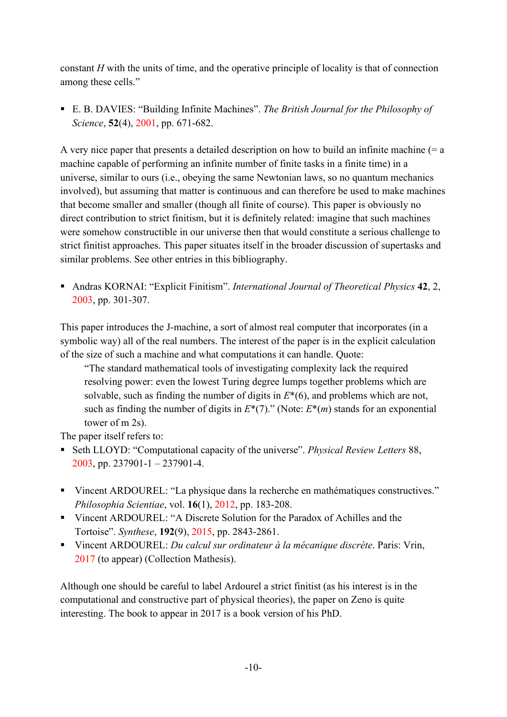constant *H* with the units of time, and the operative principle of locality is that of connection among these cells."

■ E. B. DAVIES: "Building Infinite Machines". *The British Journal for the Philosophy of Science*, **52**(4), 2001, pp. 671-682.

A very nice paper that presents a detailed description on how to build an infinite machine  $(= a$ machine capable of performing an infinite number of finite tasks in a finite time) in a universe, similar to ours (i.e., obeying the same Newtonian laws, so no quantum mechanics involved), but assuming that matter is continuous and can therefore be used to make machines that become smaller and smaller (though all finite of course). This paper is obviously no direct contribution to strict finitism, but it is definitely related: imagine that such machines were somehow constructible in our universe then that would constitute a serious challenge to strict finitist approaches. This paper situates itself in the broader discussion of supertasks and similar problems. See other entries in this bibliography.

▪ Andras KORNAI: "Explicit Finitism". *International Journal of Theoretical Physics* **42**, 2, 2003, pp. 301-307.

This paper introduces the J-machine, a sort of almost real computer that incorporates (in a symbolic way) all of the real numbers. The interest of the paper is in the explicit calculation of the size of such a machine and what computations it can handle. Quote:

"The standard mathematical tools of investigating complexity lack the required resolving power: even the lowest Turing degree lumps together problems which are solvable, such as finding the number of digits in *E*\*(6), and problems which are not, such as finding the number of digits in  $E^*(7)$ ." (Note:  $E^*(m)$  stands for an exponential tower of m 2s).

The paper itself refers to:

- Seth LLOYD: "Computational capacity of the universe". *Physical Review Letters* 88, 2003, pp. 237901-1 – 237901-4.
- Vincent ARDOUREL: "La physique dans la recherche en mathématiques constructives." *Philosophia Scientiae*, vol. **16**(1), 2012, pp. 183-208.
- Vincent ARDOUREL: "A Discrete Solution for the Paradox of Achilles and the Tortoise". *Synthese*, **192**(9), 2015, pp. 2843-2861.
- Vincent ARDOUREL: *Du calcul sur ordinateur à la mécanique discrète*. Paris: Vrin, 2017 (to appear) (Collection Mathesis).

Although one should be careful to label Ardourel a strict finitist (as his interest is in the computational and constructive part of physical theories), the paper on Zeno is quite interesting. The book to appear in 2017 is a book version of his PhD.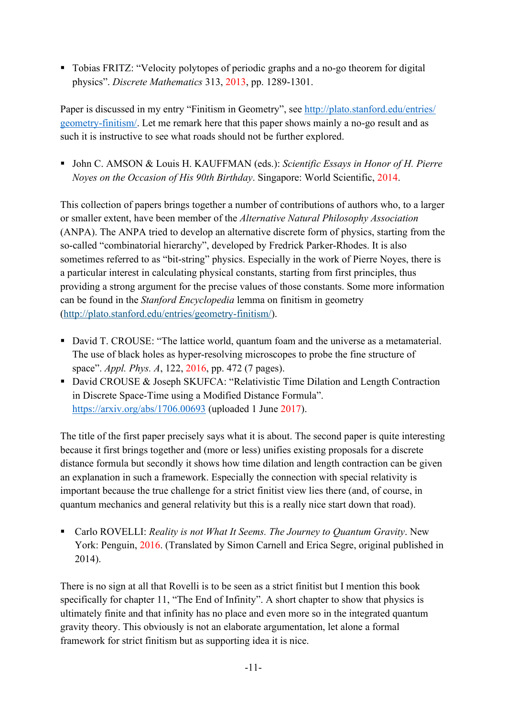■ Tobias FRITZ: "Velocity polytopes of periodic graphs and a no-go theorem for digital physics". *Discrete Mathematics* 313, 2013, pp. 1289-1301.

Paper is discussed in my entry "Finitism in Geometry", see [http://plato.stanford.edu/entries/](http://plato.stanford.edu/entries/%20geometry-finitism/)  [geometry-finitism/.](http://plato.stanford.edu/entries/%20geometry-finitism/) Let me remark here that this paper shows mainly a no-go result and as such it is instructive to see what roads should not be further explored.

■ John C. AMSON & Louis H. KAUFFMAN (eds.): *Scientific Essays in Honor of H. Pierre Noyes on the Occasion of His 90th Birthday*. Singapore: World Scientific, 2014.

This collection of papers brings together a number of contributions of authors who, to a larger or smaller extent, have been member of the *Alternative Natural Philosophy Association* (ANPA). The ANPA tried to develop an alternative discrete form of physics, starting from the so-called "combinatorial hierarchy", developed by Fredrick Parker-Rhodes. It is also sometimes referred to as "bit-string" physics. Especially in the work of Pierre Noyes, there is a particular interest in calculating physical constants, starting from first principles, thus providing a strong argument for the precise values of those constants. Some more information can be found in the *Stanford Encyclopedia* lemma on finitism in geometry [\(http://plato.stanford.edu/entries/geometry-finitism/\)](http://plato.stanford.edu/entries/geometry-finitism/).

- David T. CROUSE: "The lattice world, quantum foam and the universe as a metamaterial. The use of black holes as hyper-resolving microscopes to probe the fine structure of space". *Appl. Phys. A*, 122, 2016, pp. 472 (7 pages).
- David CROUSE & Joseph SKUFCA: "Relativistic Time Dilation and Length Contraction in Discrete Space-Time using a Modified Distance Formula". <https://arxiv.org/abs/1706.00693> (uploaded 1 June 2017).

The title of the first paper precisely says what it is about. The second paper is quite interesting because it first brings together and (more or less) unifies existing proposals for a discrete distance formula but secondly it shows how time dilation and length contraction can be given an explanation in such a framework. Especially the connection with special relativity is important because the true challenge for a strict finitist view lies there (and, of course, in quantum mechanics and general relativity but this is a really nice start down that road).

■ Carlo ROVELLI: *Reality is not What It Seems. The Journey to Quantum Gravity*. New York: Penguin, 2016. (Translated by Simon Carnell and Erica Segre, original published in 2014).

There is no sign at all that Rovelli is to be seen as a strict finitist but I mention this book specifically for chapter 11, "The End of Infinity". A short chapter to show that physics is ultimately finite and that infinity has no place and even more so in the integrated quantum gravity theory. This obviously is not an elaborate argumentation, let alone a formal framework for strict finitism but as supporting idea it is nice.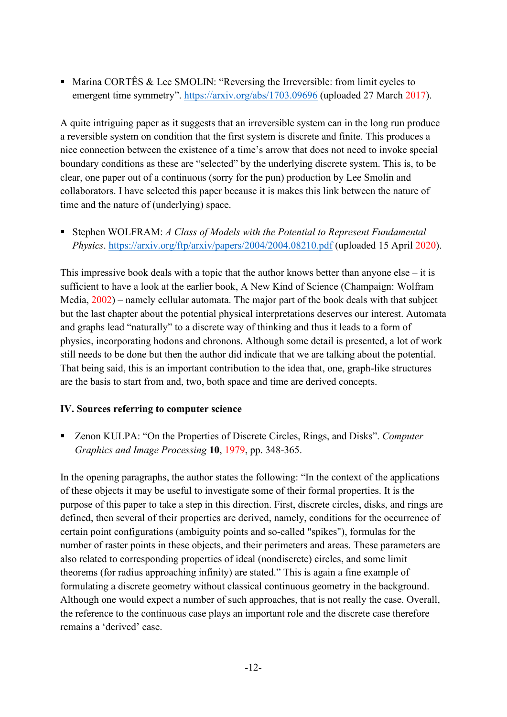**■ Marina CORTÊS & Lee SMOLIN: "Reversing the Irreversible: from limit cycles to** emergent time symmetry". <https://arxiv.org/abs/1703.09696> (uploaded 27 March 2017).

A quite intriguing paper as it suggests that an irreversible system can in the long run produce a reversible system on condition that the first system is discrete and finite. This produces a nice connection between the existence of a time's arrow that does not need to invoke special boundary conditions as these are "selected" by the underlying discrete system. This is, to be clear, one paper out of a continuous (sorry for the pun) production by Lee Smolin and collaborators. I have selected this paper because it is makes this link between the nature of time and the nature of (underlying) space.

■ Stephen WOLFRAM: *A Class of Models with the Potential to Represent Fundamental Physics*.<https://arxiv.org/ftp/arxiv/papers/2004/2004.08210.pdf> (uploaded 15 April 2020).

This impressive book deals with a topic that the author knows better than anyone else  $-$  it is sufficient to have a look at the earlier book, A New Kind of Science (Champaign: Wolfram Media, 2002) – namely cellular automata. The major part of the book deals with that subject but the last chapter about the potential physical interpretations deserves our interest. Automata and graphs lead "naturally" to a discrete way of thinking and thus it leads to a form of physics, incorporating hodons and chronons. Although some detail is presented, a lot of work still needs to be done but then the author did indicate that we are talking about the potential. That being said, this is an important contribution to the idea that, one, graph-like structures are the basis to start from and, two, both space and time are derived concepts.

#### <span id="page-11-0"></span>**IV. Sources referring to computer science**

■ Zenon KULPA: "On the Properties of Discrete Circles, Rings, and Disks". *Computer Graphics and Image Processing* **10**, 1979, pp. 348-365.

In the opening paragraphs, the author states the following: "In the context of the applications of these objects it may be useful to investigate some of their formal properties. It is the purpose of this paper to take a step in this direction. First, discrete circles, disks, and rings are defined, then several of their properties are derived, namely, conditions for the occurrence of certain point configurations (ambiguity points and so-called "spikes"), formulas for the number of raster points in these objects, and their perimeters and areas. These parameters are also related to corresponding properties of ideal (nondiscrete) circles, and some limit theorems (for radius approaching infinity) are stated." This is again a fine example of formulating a discrete geometry without classical continuous geometry in the background. Although one would expect a number of such approaches, that is not really the case. Overall, the reference to the continuous case plays an important role and the discrete case therefore remains a 'derived' case.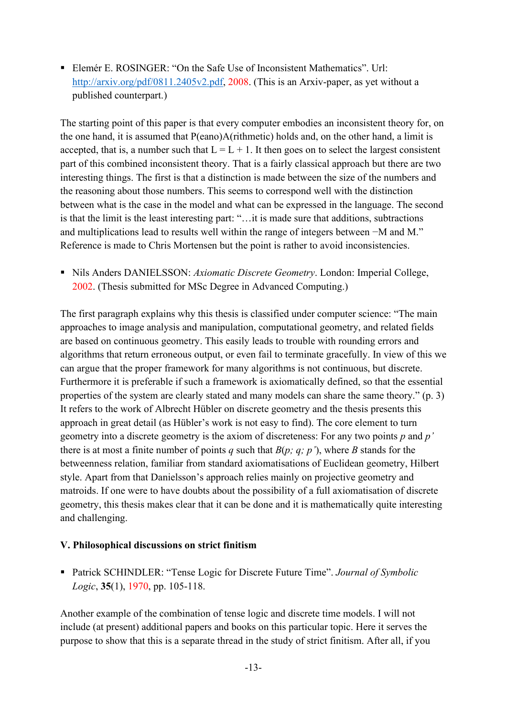■ Elemér E. ROSINGER: "On the Safe Use of Inconsistent Mathematics". Url: [http://arxiv.org/pdf/0811.2405v2.pdf,](http://arxiv.org/pdf/0811.2405v2.pdf) 2008. (This is an Arxiv-paper, as yet without a published counterpart.)

The starting point of this paper is that every computer embodies an inconsistent theory for, on the one hand, it is assumed that P(eano)A(rithmetic) holds and, on the other hand, a limit is accepted, that is, a number such that  $L = L + 1$ . It then goes on to select the largest consistent part of this combined inconsistent theory. That is a fairly classical approach but there are two interesting things. The first is that a distinction is made between the size of the numbers and the reasoning about those numbers. This seems to correspond well with the distinction between what is the case in the model and what can be expressed in the language. The second is that the limit is the least interesting part: "…it is made sure that additions, subtractions and multiplications lead to results well within the range of integers between −M and M." Reference is made to Chris Mortensen but the point is rather to avoid inconsistencies.

▪ Nils Anders DANIELSSON: *Axiomatic Discrete Geometry*. London: Imperial College, 2002. (Thesis submitted for MSc Degree in Advanced Computing.)

The first paragraph explains why this thesis is classified under computer science: "The main approaches to image analysis and manipulation, computational geometry, and related fields are based on continuous geometry. This easily leads to trouble with rounding errors and algorithms that return erroneous output, or even fail to terminate gracefully. In view of this we can argue that the proper framework for many algorithms is not continuous, but discrete. Furthermore it is preferable if such a framework is axiomatically defined, so that the essential properties of the system are clearly stated and many models can share the same theory." (p. 3) It refers to the work of Albrecht Hübler on discrete geometry and the thesis presents this approach in great detail (as Hübler's work is not easy to find). The core element to turn geometry into a discrete geometry is the axiom of discreteness: For any two points *p* and *p'* there is at most a finite number of points *q* such that *B*(*p; q; p'*), where *B* stands for the betweenness relation, familiar from standard axiomatisations of Euclidean geometry, Hilbert style. Apart from that Danielsson's approach relies mainly on projective geometry and matroids. If one were to have doubts about the possibility of a full axiomatisation of discrete geometry, this thesis makes clear that it can be done and it is mathematically quite interesting and challenging.

#### <span id="page-12-0"></span>**V. Philosophical discussions on strict finitism**

■ Patrick SCHINDLER: "Tense Logic for Discrete Future Time". *Journal of Symbolic Logic*, **35**(1), 1970, pp. 105-118.

Another example of the combination of tense logic and discrete time models. I will not include (at present) additional papers and books on this particular topic. Here it serves the purpose to show that this is a separate thread in the study of strict finitism. After all, if you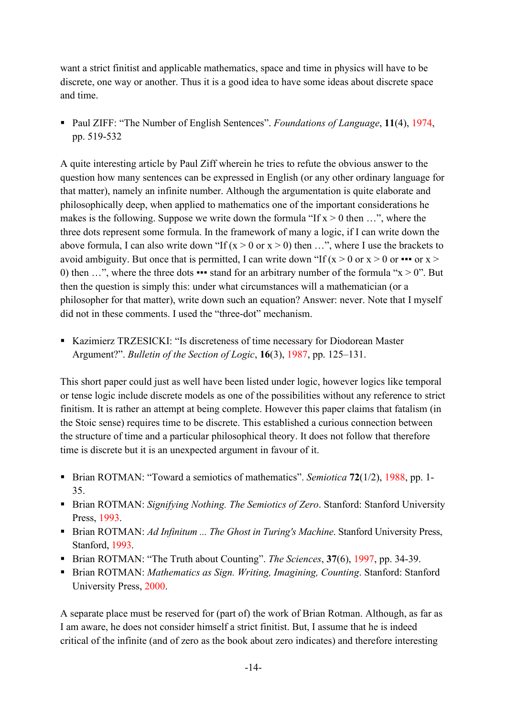want a strict finitist and applicable mathematics, space and time in physics will have to be discrete, one way or another. Thus it is a good idea to have some ideas about discrete space and time.

▪ Paul ZIFF: "The Number of English Sentences". *Foundations of Language*, **11**(4), 1974, pp. 519-532

A quite interesting article by Paul Ziff wherein he tries to refute the obvious answer to the question how many sentences can be expressed in English (or any other ordinary language for that matter), namely an infinite number. Although the argumentation is quite elaborate and philosophically deep, when applied to mathematics one of the important considerations he makes is the following. Suppose we write down the formula "If  $x > 0$  then ...", where the three dots represent some formula. In the framework of many a logic, if I can write down the above formula, I can also write down "If  $(x > 0$  or  $x > 0$ ) then ...", where I use the brackets to avoid ambiguity. But once that is permitted, I can write down "If  $(x > 0$  or  $x > 0$  or  $\cdots$  or  $x >$ 0) then ...", where the three dots  $\bullet \bullet \bullet$  stand for an arbitrary number of the formula "x > 0". But then the question is simply this: under what circumstances will a mathematician (or a philosopher for that matter), write down such an equation? Answer: never. Note that I myself did not in these comments. I used the "three-dot" mechanism.

▪ Kazimierz TRZESICKI: "Is discreteness of time necessary for Diodorean Master Argument?". *Bulletin of the Section of Logic*, **16**(3), 1987, pp. 125–131.

This short paper could just as well have been listed under logic, however logics like temporal or tense logic include discrete models as one of the possibilities without any reference to strict finitism. It is rather an attempt at being complete. However this paper claims that fatalism (in the Stoic sense) requires time to be discrete. This established a curious connection between the structure of time and a particular philosophical theory. It does not follow that therefore time is discrete but it is an unexpected argument in favour of it.

- Brian ROTMAN: "Toward a semiotics of mathematics". *Semiotica* **72**(1/2), 1988, pp. 1-35.
- Brian ROTMAN: *Signifying Nothing. The Semiotics of Zero*. Stanford: Stanford University Press, 1993.
- Brian ROTMAN: *Ad Infinitum ... The Ghost in Turing's Machine*. Stanford University Press, Stanford, 1993.
- Brian ROTMAN: "The Truth about Counting". *The Sciences*, **37**(6), 1997, pp. 34-39.
- Brian ROTMAN: *Mathematics as Sign. Writing, Imagining, Counting*. Stanford: Stanford University Press, 2000.

A separate place must be reserved for (part of) the work of Brian Rotman. Although, as far as I am aware, he does not consider himself a strict finitist. But, I assume that he is indeed critical of the infinite (and of zero as the book about zero indicates) and therefore interesting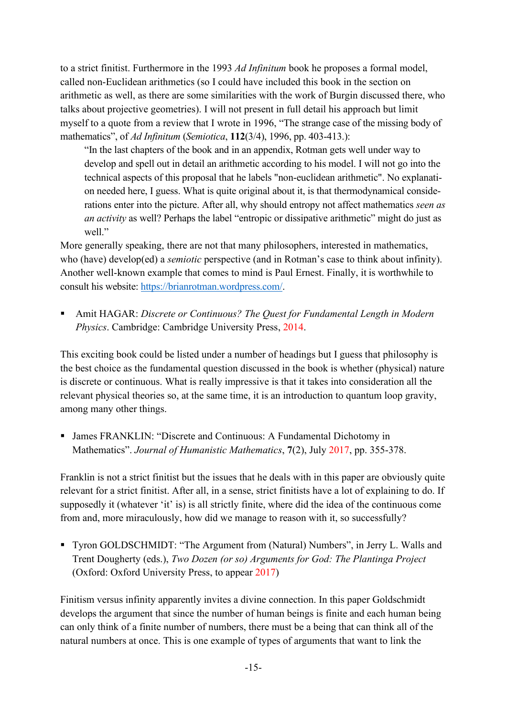to a strict finitist. Furthermore in the 1993 *Ad Infinitum* book he proposes a formal model, called non-Euclidean arithmetics (so I could have included this book in the section on arithmetic as well, as there are some similarities with the work of Burgin discussed there, who talks about projective geometries). I will not present in full detail his approach but limit myself to a quote from a review that I wrote in 1996, "The strange case of the missing body of mathematics", of *Ad Infinitum* (*Semiotica*, **112**(3/4), 1996, pp. 403-413.):

"In the last chapters of the book and in an appendix, Rotman gets well under way to develop and spell out in detail an arithmetic according to his model. I will not go into the technical aspects of this proposal that he labels "non-euclidean arithmetic". No explanation needed here, I guess. What is quite original about it, is that thermodynamical considerations enter into the picture. After all, why should entropy not affect mathematics *seen as an activity* as well? Perhaps the label "entropic or dissipative arithmetic" might do just as well"

More generally speaking, there are not that many philosophers, interested in mathematics, who (have) develop(ed) a *semiotic* perspective (and in Rotman's case to think about infinity). Another well-known example that comes to mind is Paul Ernest. Finally, it is worthwhile to consult his website: [https://brianrotman.wordpress.com/.](https://brianrotman.wordpress.com/)

▪ Amit HAGAR: *Discrete or Continuous? The Quest for Fundamental Length in Modern Physics*. Cambridge: Cambridge University Press, 2014.

This exciting book could be listed under a number of headings but I guess that philosophy is the best choice as the fundamental question discussed in the book is whether (physical) nature is discrete or continuous. What is really impressive is that it takes into consideration all the relevant physical theories so, at the same time, it is an introduction to quantum loop gravity, among many other things.

▪ James FRANKLIN: "Discrete and Continuous: A Fundamental Dichotomy in Mathematics". *Journal of Humanistic Mathematics*, **7**(2), July 2017, pp. 355-378.

Franklin is not a strict finitist but the issues that he deals with in this paper are obviously quite relevant for a strict finitist. After all, in a sense, strict finitists have a lot of explaining to do. If supposedly it (whatever 'it' is) is all strictly finite, where did the idea of the continuous come from and, more miraculously, how did we manage to reason with it, so successfully?

▪ Tyron GOLDSCHMIDT: "The Argument from (Natural) Numbers", in Jerry L. Walls and Trent Dougherty (eds.), *Two Dozen (or so) Arguments for God: The Plantinga Project* (Oxford: Oxford University Press, to appear 2017)

Finitism versus infinity apparently invites a divine connection. In this paper Goldschmidt develops the argument that since the number of human beings is finite and each human being can only think of a finite number of numbers, there must be a being that can think all of the natural numbers at once. This is one example of types of arguments that want to link the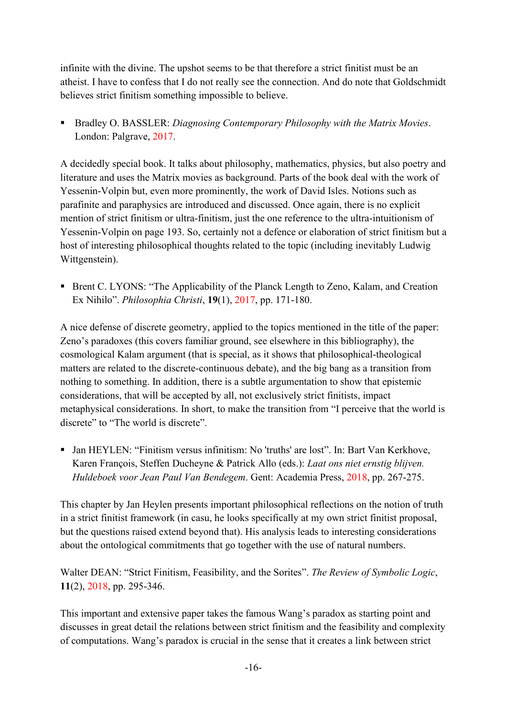infinite with the divine. The upshot seems to be that therefore a strict finitist must be an atheist. I have to confess that I do not really see the connection. And do note that Goldschmidt believes strict finitism something impossible to believe.

■ Bradley O. BASSLER: *Diagnosing Contemporary Philosophy with the Matrix Movies*. London: Palgrave, 2017.

A decidedly special book. It talks about philosophy, mathematics, physics, but also poetry and literature and uses the Matrix movies as background. Parts of the book deal with the work of Yessenin-Volpin but, even more prominently, the work of David Isles. Notions such as parafinite and paraphysics are introduced and discussed. Once again, there is no explicit mention of strict finitism or ultra-finitism, just the one reference to the ultra-intuitionism of Yessenin-Volpin on page 193. So, certainly not a defence or elaboration of strict finitism but a host of interesting philosophical thoughts related to the topic (including inevitably Ludwig Wittgenstein).

■ Brent C. LYONS: "The Applicability of the Planck Length to Zeno, Kalam, and Creation Ex Nihilo". *Philosophia Christi*, **19**(1), 2017, pp. 171-180.

A nice defense of discrete geometry, applied to the topics mentioned in the title of the paper: Zeno's paradoxes (this covers familiar ground, see elsewhere in this bibliography), the cosmological Kalam argument (that is special, as it shows that philosophical-theological matters are related to the discrete-continuous debate), and the big bang as a transition from nothing to something. In addition, there is a subtle argumentation to show that epistemic considerations, that will be accepted by all, not exclusively strict finitists, impact metaphysical considerations. In short, to make the transition from "I perceive that the world is discrete" to "The world is discrete".

■ Jan HEYLEN: "Finitism versus infinitism: No 'truths' are lost". In: Bart Van Kerkhove, Karen François, Steffen Ducheyne & Patrick Allo (eds.): *Laat ons niet ernstig blijven. Huldeboek voor Jean Paul Van Bendegem*. Gent: Academia Press, 2018, pp. 267-275.

This chapter by Jan Heylen presents important philosophical reflections on the notion of truth in a strict finitist framework (in casu, he looks specifically at my own strict finitist proposal, but the questions raised extend beyond that). His analysis leads to interesting considerations about the ontological commitments that go together with the use of natural numbers.

Walter DEAN: "Strict Finitism, Feasibility, and the Sorites". *The Review of Symbolic Logic*, **11**(2), 2018, pp. 295-346.

This important and extensive paper takes the famous Wang's paradox as starting point and discusses in great detail the relations between strict finitism and the feasibility and complexity of computations. Wang's paradox is crucial in the sense that it creates a link between strict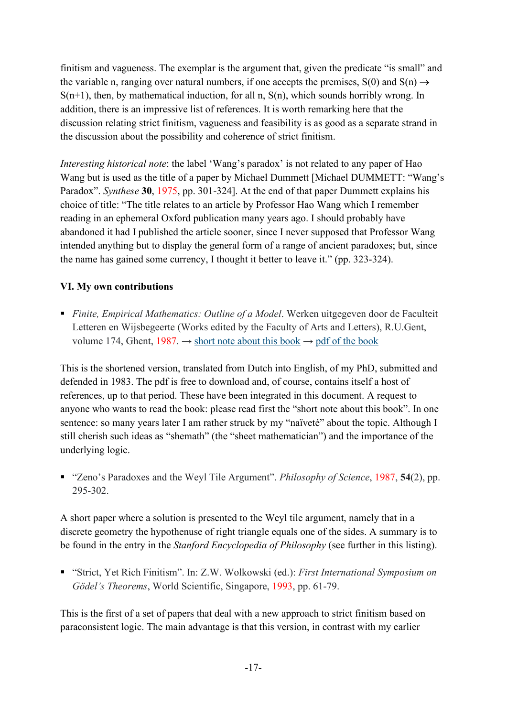finitism and vagueness. The exemplar is the argument that, given the predicate "is small" and the variable n, ranging over natural numbers, if one accepts the premises,  $S(0)$  and  $S(n) \rightarrow$  $S(n+1)$ , then, by mathematical induction, for all n,  $S(n)$ , which sounds horribly wrong. In addition, there is an impressive list of references. It is worth remarking here that the discussion relating strict finitism, vagueness and feasibility is as good as a separate strand in the discussion about the possibility and coherence of strict finitism.

*Interesting historical note*: the label 'Wang's paradox' is not related to any paper of Hao Wang but is used as the title of a paper by Michael Dummett [Michael DUMMETT: "Wang's Paradox". *Synthese* **30**, 1975, pp. 301-324]. At the end of that paper Dummett explains his choice of title: "The title relates to an article by Professor Hao Wang which I remember reading in an ephemeral Oxford publication many years ago. I should probably have abandoned it had I published the article sooner, since I never supposed that Professor Wang intended anything but to display the general form of a range of ancient paradoxes; but, since the name has gained some currency, I thought it better to leave it." (pp. 323-324).

#### <span id="page-16-0"></span>**VI. My own contributions**

■ *Finite, Empirical Mathematics: Outline of a Model*. Werken uitgegeven door de Faculteit Letteren en Wijsbegeerte (Works edited by the Faculty of Arts and Letters), R.U.Gent, volume 174, Ghent, 1987.  $\rightarrow$  [short note about this book](http://jeanpaulvanbendegem.be/home/wp-content/uploads/2015/11/shortnoteaboutthisbook.pdf)  $\rightarrow$  [pdf of the book](http://jeanpaulvanbendegem.be/home/wp-content/uploads/2015/11/finiteempiricalmathematics.pdf)

This is the shortened version, translated from Dutch into English, of my PhD, submitted and defended in 1983. The pdf is free to download and, of course, contains itself a host of references, up to that period. These have been integrated in this document. A request to anyone who wants to read the book: please read first the "short note about this book". In one sentence: so many years later I am rather struck by my "naïveté" about the topic. Although I still cherish such ideas as "shemath" (the "sheet mathematician") and the importance of the underlying logic.

▪ "Zeno's Paradoxes and the Weyl Tile Argument". *Philosophy of Science*, 1987, **54**(2), pp. 295-302.

A short paper where a solution is presented to the Weyl tile argument, namely that in a discrete geometry the hypothenuse of right triangle equals one of the sides. A summary is to be found in the entry in the *Stanford Encyclopedia of Philosophy* (see further in this listing).

▪ "Strict, Yet Rich Finitism". In: Z.W. Wolkowski (ed.): *First International Symposium on Gödel's Theorems*, World Scientific, Singapore, 1993, pp. 61-79.

This is the first of a set of papers that deal with a new approach to strict finitism based on paraconsistent logic. The main advantage is that this version, in contrast with my earlier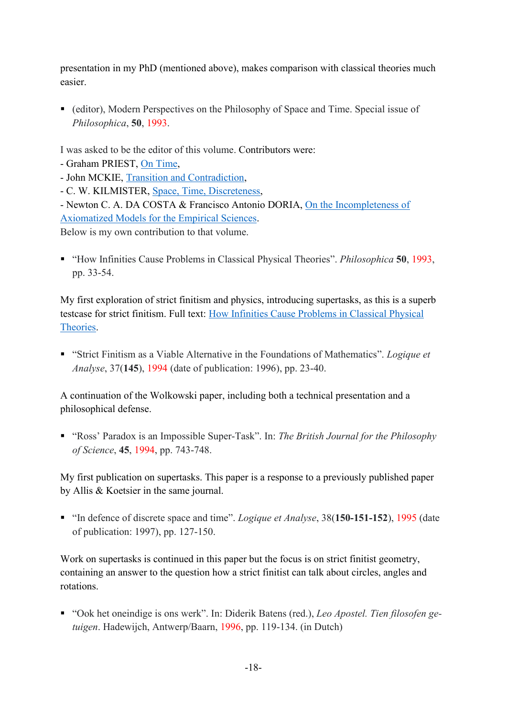presentation in my PhD (mentioned above), makes comparison with classical theories much easier.

■ (editor), Modern Perspectives on the Philosophy of Space and Time. Special issue of *Philosophica*, **50**, 1993.

I was asked to be the editor of this volume. Contributors were:

- Graham PRIEST, [On Time,](http://logica.ugent.be/philosophica/fulltexts/50-2.pdf)
- John MCKIE, [Transition and Contradiction,](http://logica.ugent.be/philosophica/fulltexts/50-3.pdf)
- C. W. KILMISTER, [Space, Time, Discreteness,](http://logica.ugent.be/philosophica/fulltexts/50-5.pdf)

- Newton C. A. DA COSTA & Francisco Antonio DORIA, [On the Incompleteness](http://logica.ugent.be/philosophica/fulltexts/50-6.pdf) of [Axiomatized Models for the Empirical Sciences.](http://logica.ugent.be/philosophica/fulltexts/50-6.pdf)

Below is my own contribution to that volume.

▪ "How Infinities Cause Problems in Classical Physical Theories". *Philosophica* **50**, 1993, pp. 33-54.

My first exploration of strict finitism and physics, introducing supertasks, as this is a superb testcase for strict finitism. Full text: [How Infinities Cause Problems in Classical Physical](http://logica.ugent.be/philosophica/fulltexts/50-4.pdf)  [Theories.](http://logica.ugent.be/philosophica/fulltexts/50-4.pdf)

■ "Strict Finitism as a Viable Alternative in the Foundations of Mathematics". *Logique et Analyse*, 37(**145**), 1994 (date of publication: 1996), pp. 23-40.

A continuation of the Wolkowski paper, including both a technical presentation and a philosophical defense.

▪ "Ross' Paradox is an Impossible Super-Task". In: *The British Journal for the Philosophy of Science*, **45**, 1994, pp. 743-748.

My first publication on supertasks. This paper is a response to a previously published paper by Allis & Koetsier in the same journal.

▪ "In defence of discrete space and time". *Logique et Analyse*, 38(**150-151-152**), 1995 (date of publication: 1997), pp. 127-150.

Work on supertasks is continued in this paper but the focus is on strict finitist geometry, containing an answer to the question how a strict finitist can talk about circles, angles and rotations.

▪ "Ook het oneindige is ons werk". In: Diderik Batens (red.), *Leo Apostel. Tien filosofen getuigen*. Hadewijch, Antwerp/Baarn, 1996, pp. 119-134. (in Dutch)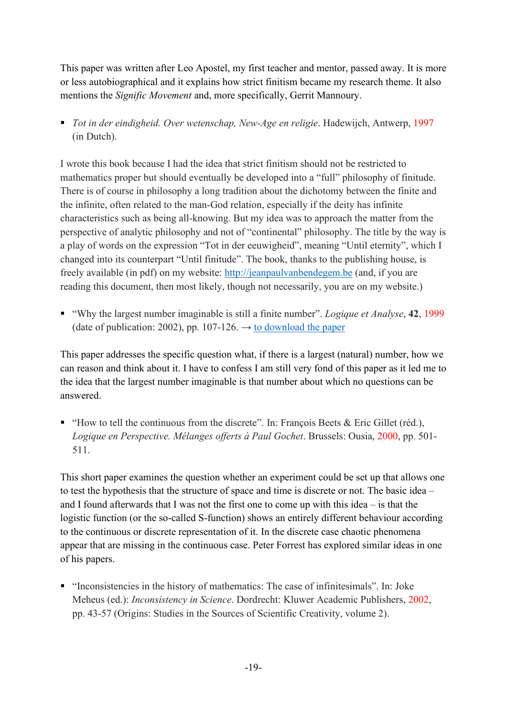This paper was written after Leo Apostel, my first teacher and mentor, passed away. It is more or less autobiographical and it explains how strict finitism became my research theme. It also mentions the *Signific Movement* and, more specifically, Gerrit Mannoury.

■ *Tot in der eindigheid. Over wetenschap, New-Age en religie*. Hadewijch, Antwerp, 1997 (in Dutch).

I wrote this book because I had the idea that strict finitism should not be restricted to mathematics proper but should eventually be developed into a "full" philosophy of finitude. There is of course in philosophy a long tradition about the dichotomy between the finite and the infinite, often related to the man-God relation, especially if the deity has infinite characteristics such as being all-knowing. But my idea was to approach the matter from the perspective of analytic philosophy and not of "continental" philosophy. The title by the way is a play of words on the expression "Tot in der eeuwigheid", meaning "Until eternity", which I changed into its counterpart "Until finitude". The book, thanks to the publishing house, is freely available (in pdf) on my website: [http://jeanpaulvanbendegem.be](http://jeanpaulvanbendegem.be/) (and, if you are reading this document, then most likely, though not necessarily, you are on my website.)

▪ "Why the largest number imaginable is still a finite number". *Logique et Analyse*, **42**, 1999 (date of publication: 2002), pp. 107-126.  $\rightarrow$  [to download the paper](http://virthost.vub.ac.be/lnaweb/ojs/index.php/LogiqueEtAnalyse/article/view/1468)

This paper addresses the specific question what, if there is a largest (natural) number, how we can reason and think about it. I have to confess I am still very fond of this paper as it led me to the idea that the largest number imaginable is that number about which no questions can be answered.

 $\blacksquare$  "How to tell the continuous from the discrete". In: François Beets & Eric Gillet (réd.), *Logique en Perspective. Mélanges offerts à Paul Gochet*. Brussels: Ousia, 2000, pp. 501- 511.

This short paper examines the question whether an experiment could be set up that allows one to test the hypothesis that the structure of space and time is discrete or not. The basic idea – and I found afterwards that I was not the first one to come up with this idea – is that the logistic function (or the so-called S-function) shows an entirely different behaviour according to the continuous or discrete representation of it. In the discrete case chaotic phenomena appear that are missing in the continuous case. Peter Forrest has explored similar ideas in one of his papers.

▪ "Inconsistencies in the history of mathematics: The case of infinitesimals". In: Joke Meheus (ed.): *Inconsistency in Science*. Dordrecht: Kluwer Academic Publishers, 2002, pp. 43-57 (Origins: Studies in the Sources of Scientific Creativity, volume 2).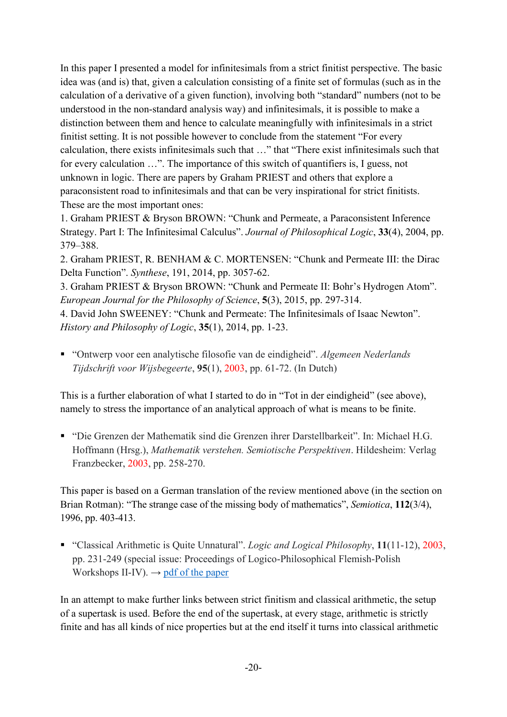In this paper I presented a model for infinitesimals from a strict finitist perspective. The basic idea was (and is) that, given a calculation consisting of a finite set of formulas (such as in the calculation of a derivative of a given function), involving both "standard" numbers (not to be understood in the non-standard analysis way) and infinitesimals, it is possible to make a distinction between them and hence to calculate meaningfully with infinitesimals in a strict finitist setting. It is not possible however to conclude from the statement "For every calculation, there exists infinitesimals such that …" that "There exist infinitesimals such that for every calculation …". The importance of this switch of quantifiers is, I guess, not unknown in logic. There are papers by Graham PRIEST and others that explore a paraconsistent road to infinitesimals and that can be very inspirational for strict finitists. These are the most important ones:

1. Graham PRIEST & Bryson BROWN: "Chunk and Permeate, a Paraconsistent Inference Strategy. Part I: The Infinitesimal Calculus". *Journal of Philosophical Logic*, **33**(4), 2004, pp. 379–388.

2. Graham PRIEST, R. BENHAM & C. MORTENSEN: "Chunk and Permeate III: the Dirac Delta Function". *Synthese*, 191, 2014, pp. 3057-62.

3. Graham PRIEST & Bryson BROWN: "Chunk and Permeate II: Bohr's Hydrogen Atom". *European Journal for the Philosophy of Science*, **5**(3), 2015, pp. 297-314.

4. David John SWEENEY: "Chunk and Permeate: The Infinitesimals of Isaac Newton". *History and Philosophy of Logic*, **35**(1), 2014, pp. 1-23.

■ "Ontwerp voor een analytische filosofie van de eindigheid". Algemeen Nederlands *Tijdschrift voor Wijsbegeerte*, **95**(1), 2003, pp. 61-72. (In Dutch)

This is a further elaboration of what I started to do in "Tot in der eindigheid" (see above), namely to stress the importance of an analytical approach of what is means to be finite.

▪ "Die Grenzen der Mathematik sind die Grenzen ihrer Darstellbarkeit". In: Michael H.G. Hoffmann (Hrsg.), *Mathematik verstehen. Semiotische Perspektiven*. Hildesheim: Verlag Franzbecker, 2003, pp. 258-270.

This paper is based on a German translation of the review mentioned above (in the section on Brian Rotman): "The strange case of the missing body of mathematics", *Semiotica*, **112**(3/4), 1996, pp. 403-413.

▪ "Classical Arithmetic is Quite Unnatural". *Logic and Logical Philosophy*, **11**(11-12), 2003, pp. 231-249 (special issue: Proceedings of Logico-Philosophical Flemish-Polish Workshops II-IV).  $\rightarrow$  [pdf of the paper](http://www.apcz.pl/czasopisma/index.php/LLP/article/viewFile/LLP.2003.012/1458)

In an attempt to make further links between strict finitism and classical arithmetic, the setup of a supertask is used. Before the end of the supertask, at every stage, arithmetic is strictly finite and has all kinds of nice properties but at the end itself it turns into classical arithmetic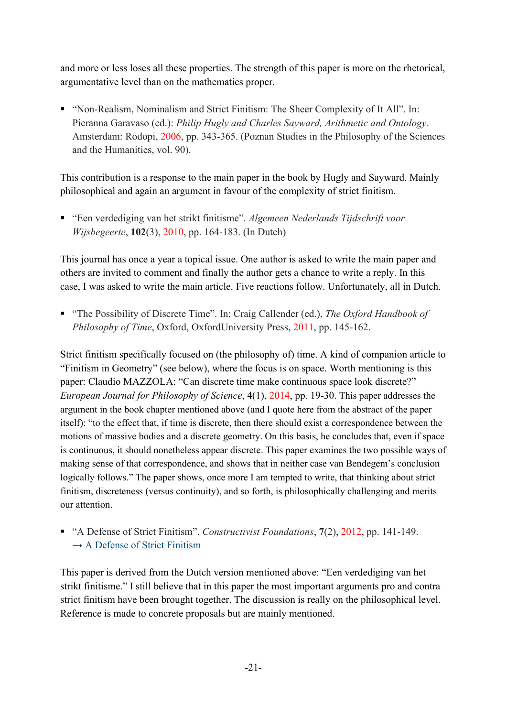and more or less loses all these properties. The strength of this paper is more on the rhetorical, argumentative level than on the mathematics proper.

■ "Non-Realism, Nominalism and Strict Finitism: The Sheer Complexity of It All". In: Pieranna Garavaso (ed.): *Philip Hugly and Charles Sayward, Arithmetic and Ontology*. Amsterdam: Rodopi, 2006, pp. 343-365. (Poznan Studies in the Philosophy of the Sciences and the Humanities, vol. 90).

This contribution is a response to the main paper in the book by Hugly and Sayward. Mainly philosophical and again an argument in favour of the complexity of strict finitism.

■ "Een verdediging van het strikt finitisme". Algemeen Nederlands Tijdschrift voor *Wijsbegeerte*, **102**(3), 2010, pp. 164-183. (In Dutch)

This journal has once a year a topical issue. One author is asked to write the main paper and others are invited to comment and finally the author gets a chance to write a reply. In this case, I was asked to write the main article. Five reactions follow. Unfortunately, all in Dutch.

■ "The Possibility of Discrete Time". In: Craig Callender (ed.), *The Oxford Handbook of Philosophy of Time*, Oxford, OxfordUniversity Press, 2011, pp. 145-162.

Strict finitism specifically focused on (the philosophy of) time. A kind of companion article to "Finitism in Geometry" (see below), where the focus is on space. Worth mentioning is this paper: Claudio MAZZOLA: "Can discrete time make continuous space look discrete?" *European Journal for Philosophy of Science*, **4**(1), 2014, pp. 19-30. This paper addresses the argument in the book chapter mentioned above (and I quote here from the abstract of the paper itself): "to the effect that, if time is discrete, then there should exist a correspondence between the motions of massive bodies and a discrete geometry. On this basis, he concludes that, even if space is continuous, it should nonetheless appear discrete. This paper examines the two possible ways of making sense of that correspondence, and shows that in neither case van Bendegem's conclusion logically follows." The paper shows, once more I am tempted to write, that thinking about strict finitism, discreteness (versus continuity), and so forth, is philosophically challenging and merits our attention.

▪ "A Defense of Strict Finitism". *Constructivist Foundations*, **7**(2), 2012, pp. 141-149.  $\rightarrow$  [A Defense of Strict Finitism](http://jeanpaulvanbendegem.be/home/wp-content/uploads/2015/11/strictfinitism.pdf)

This paper is derived from the Dutch version mentioned above: "Een verdediging van het strikt finitisme." I still believe that in this paper the most important arguments pro and contra strict finitism have been brought together. The discussion is really on the philosophical level. Reference is made to concrete proposals but are mainly mentioned.